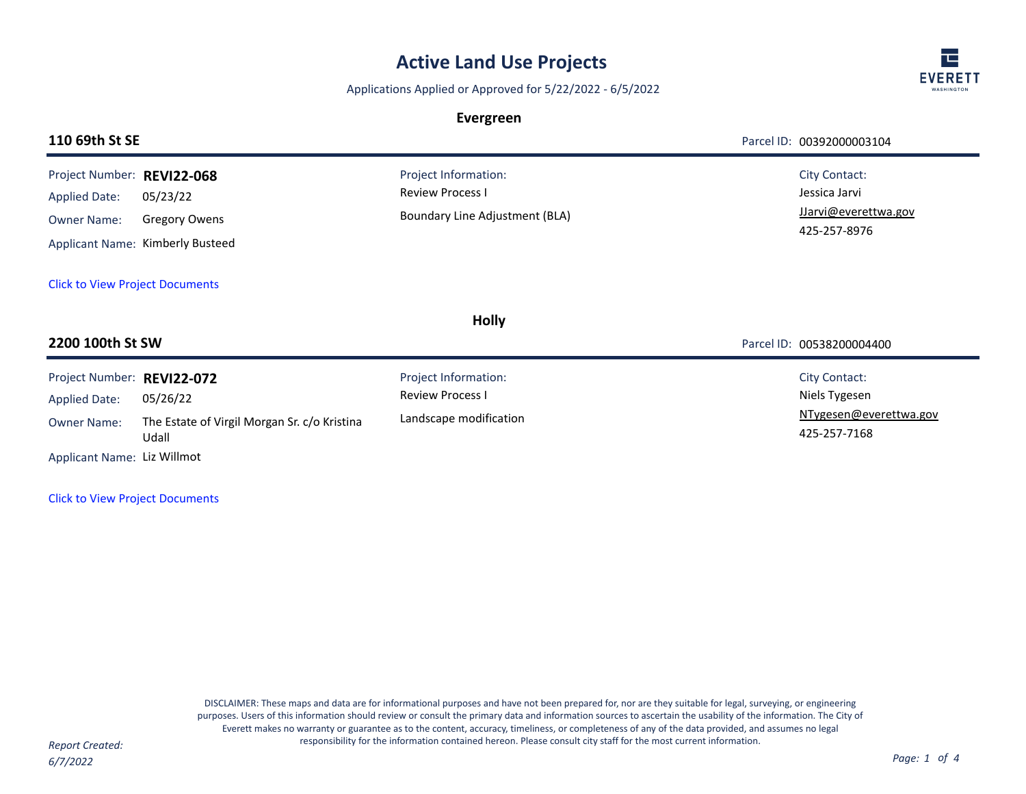## **Active Land Use Projects**

Applications Applied or Approved for 5/22/2022 - 6/5/2022

## **Evergreen**



|                                                                                   | Parcel ID: 00392000003104                                                     |
|-----------------------------------------------------------------------------------|-------------------------------------------------------------------------------|
| Project Information:<br><b>Review Process I</b><br>Boundary Line Adjustment (BLA) | <b>City Contact:</b><br>Jessica Jarvi<br>JJarvi@everettwa.gov<br>425-257-8976 |
|                                                                                   |                                                                               |
| <b>Holly</b>                                                                      |                                                                               |
|                                                                                   | Parcel ID: 00538200004400                                                     |
| Project Information:<br><b>Review Process I</b><br>Landscape modification         | City Contact:<br>Niels Tygesen<br>NTygesen@everettwa.gov<br>425-257-7168      |
|                                                                                   |                                                                               |

[Click to View Project Documents](https://pw.everettwa.gov/eTRAKiT/Search/project.aspx?activityNo=REVI22-072)

DISCLAIMER: These maps and data are for informational purposes and have not been prepared for, nor are they suitable for legal, surveying, or engineering purposes. Users of this information should review or consult the primary data and information sources to ascertain the usability of the information. The City of Everett makes no warranty or guarantee as to the content, accuracy, timeliness, or completeness of any of the data provided, and assumes no legal responsibility for the information contained hereon. Please consult city staff for the most current information. *Report Created:*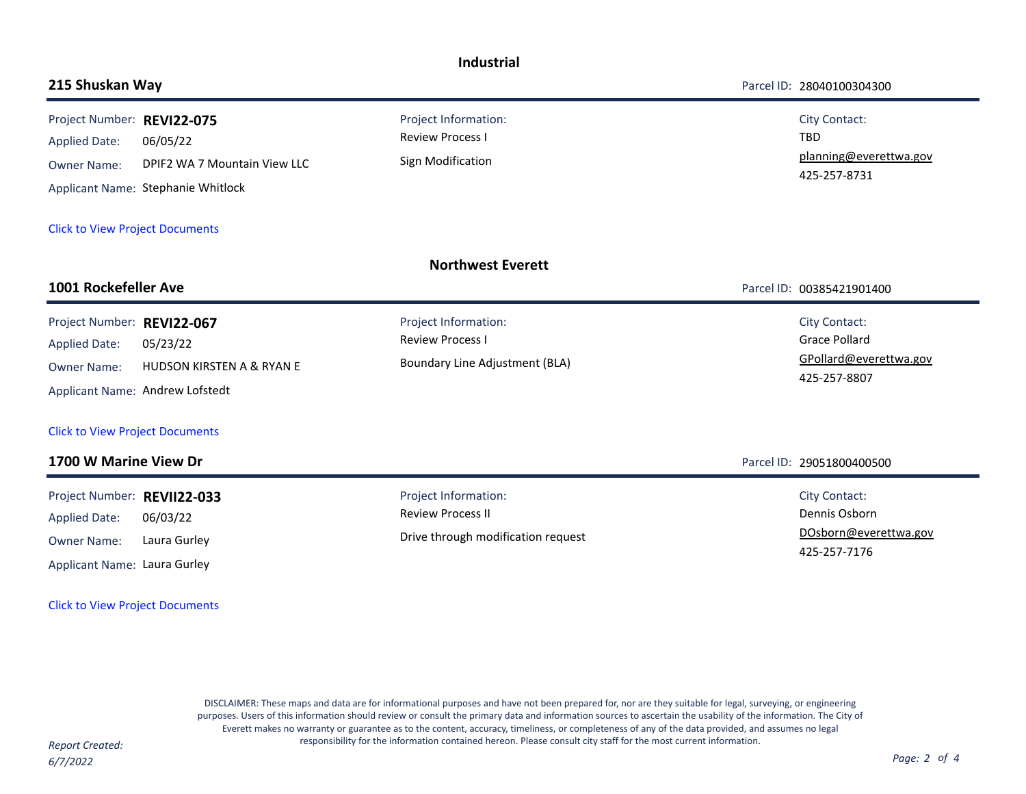| <b>Industrial</b>                                                                                                  |                                                                                |                                                                                          |                                                                                        |  |  |  |
|--------------------------------------------------------------------------------------------------------------------|--------------------------------------------------------------------------------|------------------------------------------------------------------------------------------|----------------------------------------------------------------------------------------|--|--|--|
| 215 Shuskan Way                                                                                                    |                                                                                |                                                                                          | Parcel ID: 28040100304300                                                              |  |  |  |
| Project Number: REVI22-075<br><b>Applied Date:</b><br><b>Owner Name:</b><br><b>Click to View Project Documents</b> | 06/05/22<br>DPIF2 WA 7 Mountain View LLC<br>Applicant Name: Stephanie Whitlock | Project Information:<br><b>Review Process I</b><br>Sign Modification                     | <b>City Contact:</b><br>TBD<br>planning@everettwa.gov<br>425-257-8731                  |  |  |  |
|                                                                                                                    |                                                                                |                                                                                          |                                                                                        |  |  |  |
|                                                                                                                    |                                                                                | <b>Northwest Everett</b>                                                                 |                                                                                        |  |  |  |
| 1001 Rockefeller Ave                                                                                               |                                                                                |                                                                                          | Parcel ID: 00385421901400                                                              |  |  |  |
| Project Number: REVI22-067<br><b>Applied Date:</b><br><b>Owner Name:</b>                                           | 05/23/22<br>HUDSON KIRSTEN A & RYAN E<br>Applicant Name: Andrew Lofstedt       | Project Information:<br><b>Review Process I</b><br><b>Boundary Line Adjustment (BLA)</b> | <b>City Contact:</b><br><b>Grace Pollard</b><br>GPollard@everettwa.gov<br>425-257-8807 |  |  |  |
| <b>Click to View Project Documents</b>                                                                             |                                                                                |                                                                                          |                                                                                        |  |  |  |
| 1700 W Marine View Dr                                                                                              |                                                                                |                                                                                          | Parcel ID: 29051800400500                                                              |  |  |  |
| Project Number: REVII22-033<br><b>Applied Date:</b><br><b>Owner Name:</b><br>Applicant Name: Laura Gurley          | 06/03/22<br>Laura Gurley                                                       | Project Information:<br><b>Review Process II</b><br>Drive through modification request   | <b>City Contact:</b><br>Dennis Osborn<br>DOsborn@everettwa.gov<br>425-257-7176         |  |  |  |

[Click to View Project Documents](https://pw.everettwa.gov/eTRAKiT/Search/project.aspx?activityNo=REVII22-033)

DISCLAIMER: These maps and data are for informational purposes and have not been prepared for, nor are they suitable for legal, surveying, or engineering purposes. Users of this information should review or consult the primary data and information sources to ascertain the usability of the information. The City of Everett makes no warranty or guarantee as to the content, accuracy, timeliness, or completeness of any of the data provided, and assumes no legal responsibility for the information contained hereon. Please consult city staff for the most current information. *Report Created:*

*6/7/2022 Page: 2 of 4*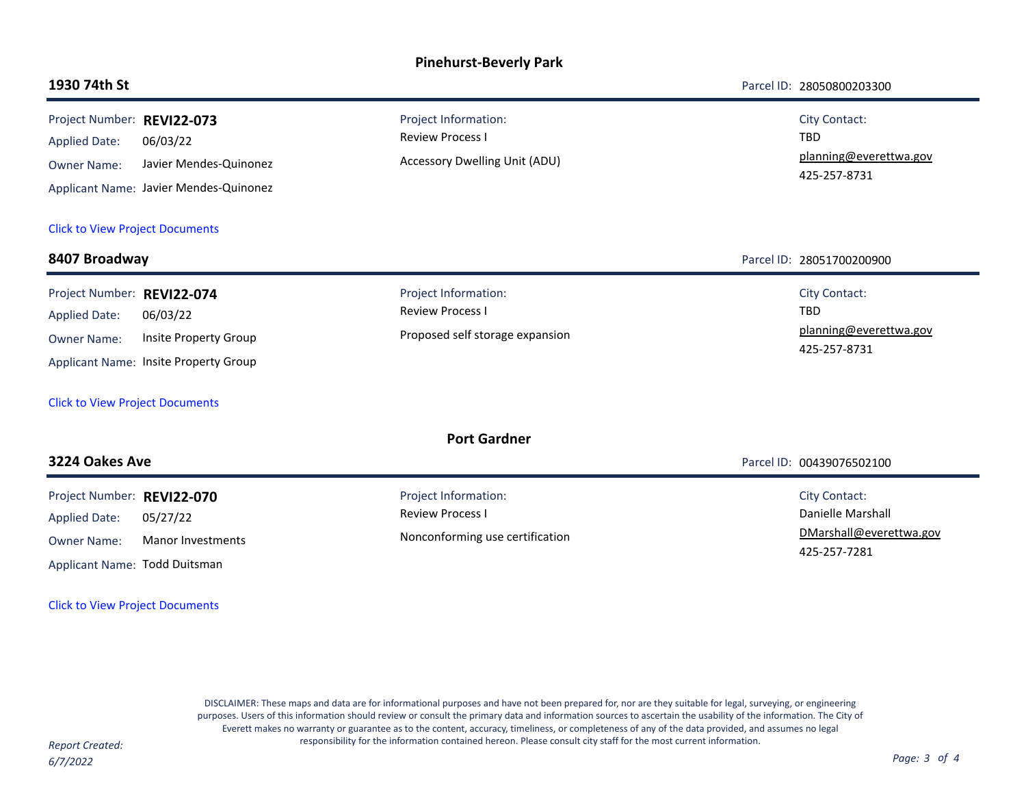## **Pinehurst-Beverly Park**

**1930 74th St** Parcel ID: 28050800203300

| Project Number: REVI22-073<br><b>Applied Date:</b><br><b>Owner Name:</b>                                           | 06/03/22<br>Javier Mendes-Quinonez<br>Applicant Name: Javier Mendes-Quinonez | Project Information:<br><b>Review Process I</b><br>Accessory Dwelling Unit (ADU)   | <b>City Contact:</b><br><b>TBD</b><br>planning@everettwa.gov<br>425-257-8731 |
|--------------------------------------------------------------------------------------------------------------------|------------------------------------------------------------------------------|------------------------------------------------------------------------------------|------------------------------------------------------------------------------|
| <b>Click to View Project Documents</b>                                                                             |                                                                              |                                                                                    |                                                                              |
| 8407 Broadway                                                                                                      |                                                                              |                                                                                    | Parcel ID: 28051700200900                                                    |
| Project Number: REVI22-074<br><b>Applied Date:</b><br><b>Owner Name:</b><br><b>Click to View Project Documents</b> | 06/03/22<br>Insite Property Group<br>Applicant Name: Insite Property Group   | Project Information:<br><b>Review Process I</b><br>Proposed self storage expansion | <b>City Contact:</b><br><b>TBD</b><br>planning@everettwa.gov<br>425-257-8731 |
| <b>3224 Oakes Ave</b>                                                                                              |                                                                              | <b>Port Gardner</b>                                                                | Parcel ID: 00439076502100                                                    |
| Project Number: REVI22-070<br><b>Applied Date:</b><br><b>Owner Name:</b>                                           | 05/27/22<br><b>Manor Investments</b>                                         | Project Information:<br><b>Review Process I</b><br>Nonconforming use certification | City Contact:<br>Danielle Marshall<br>DMarshall@everettwa.gov                |

Applicant Name: Todd Duitsman

[Click to View Project Documents](https://pw.everettwa.gov/eTRAKiT/Search/project.aspx?activityNo=REVI22-070)

DISCLAIMER: These maps and data are for informational purposes and have not been prepared for, nor are they suitable for legal, surveying, or engineering purposes. Users of this information should review or consult the primary data and information sources to ascertain the usability of the information. The City of Everett makes no warranty or guarantee as to the content, accuracy, timeliness, or completeness of any of the data provided, and assumes no legal responsibility for the information contained hereon. Please consult city staff for the most current information. *Report Created:*

*6/7/2022 Page: 3 of 4*

Ē,

425-257-7281